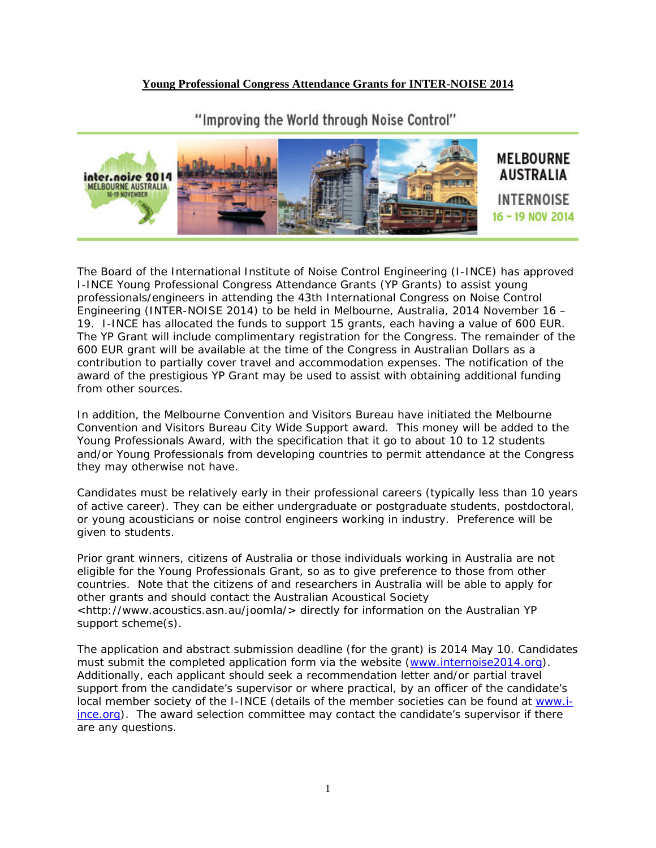#### **Young Professional Congress Attendance Grants for INTER-NOISE 2014**

"Improving the World through Noise Control"



The Board of the International Institute of Noise Control Engineering (I-INCE) has approved I-INCE Young Professional Congress Attendance Grants (YP Grants) to assist young professionals/engineers in attending the 43th International Congress on Noise Control Engineering (INTER-NOISE 2014) to be held in Melbourne, Australia, 2014 November 16 – 19. I-INCE has allocated the funds to support 15 grants, each having a value of 600 EUR. The YP Grant will include complimentary registration for the Congress. The remainder of the 600 EUR grant will be available at the time of the Congress in Australian Dollars as a contribution to partially cover travel and accommodation expenses. The notification of the award of the prestigious YP Grant may be used to assist with obtaining additional funding from other sources.

In addition, the Melbourne Convention and Visitors Bureau have initiated the Melbourne Convention and Visitors Bureau City Wide Support award. This money will be added to the Young Professionals Award, with the specification that it go to about 10 to 12 students and/or Young Professionals from developing countries to permit attendance at the Congress they may otherwise not have.

Candidates must be relatively early in their professional careers (typically less than 10 years of active career). They can be either undergraduate or postgraduate students, postdoctoral, or young acousticians or noise control engineers working in industry. Preference will be given to students.

Prior grant winners, citizens of Australia or those individuals working in Australia are not eligible for the Young Professionals Grant, so as to give preference to those from other countries. Note that the citizens of and researchers in Australia will be able to apply for other grants and should contact the Australian Acoustical Society <http://www.acoustics.asn.au/joomla/> directly for information on the Australian YP support scheme(s).

The application and abstract submission deadline (for the grant) is 2014 May 10. Candidates must submit the completed application form via the website (www.internoise2014.org). Additionally, each applicant should seek a recommendation letter and/or partial travel support from the candidate's supervisor or where practical, by an officer of the candidate's local member society of the I-INCE (details of the member societies can be found at www.iince.org). The award selection committee may contact the candidate's supervisor if there are any questions.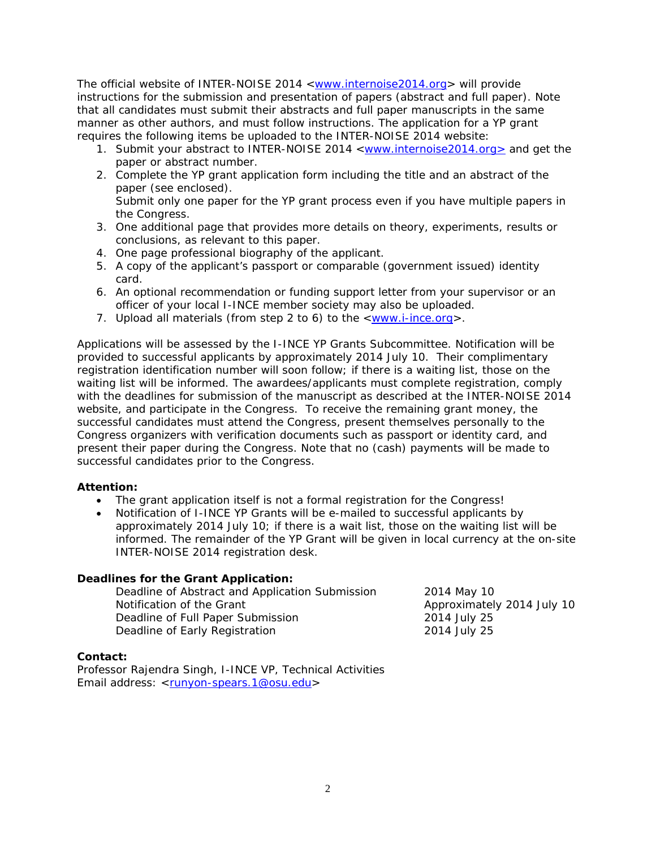The official website of INTER-NOISE 2014 <www.internoise2014.org> will provide instructions for the submission and presentation of papers (abstract and full paper). Note that all candidates must submit their abstracts and full paper manuscripts in the same manner as other authors, and must follow instructions. The application for a YP grant requires the following items be uploaded to the INTER-NOISE 2014 website:

- 1. Submit your abstract to INTER-NOISE 2014 <www.internoise2014.org> and get the paper or abstract number.
- 2. Complete the YP grant application form including the title and an abstract of the paper (see enclosed). *Submit only one paper for the YP grant process even if you have multiple papers in the Congress.*
- 3. One additional page that provides more details on theory, experiments, results or conclusions, as relevant to this paper.
- 4. One page professional biography of the applicant.
- 5. A copy of the applicant's passport or comparable (government issued) identity card.
- 6. An optional recommendation or funding support letter from your supervisor or an officer of your local I-INCE member society may also be uploaded.
- 7. Upload all materials (from step 2 to 6) to the <www.i-ince.org>.

Applications will be assessed by the I-INCE YP Grants Subcommittee. Notification will be provided to successful applicants by approximately 2014 July 10. Their complimentary registration identification number will soon follow; if there is a waiting list, those on the waiting list will be informed. The awardees/applicants must complete registration, comply with the deadlines for submission of the manuscript as described at the INTER-NOISE 2014 website, and participate in the Congress. To receive the remaining grant money, the successful candidates must attend the Congress, present themselves personally to the Congress organizers with verification documents such as passport or identity card, and present their paper during the Congress. Note that no (cash) payments will be made to successful candidates prior to the Congress.

### *Attention:*

- *The grant application itself is not a formal registration for the Congress!*
- Notification of I-INCE YP Grants will be e-mailed to successful applicants by approximately 2014 July 10; if there is a wait list, those on the waiting list will be informed. The remainder of the YP Grant will be given in local currency at the on-site INTER-NOISE 2014 registration desk.

### **Deadlines for the Grant Application:**

 Deadline of Abstract and Application Submission 2014 May 10 Notification of the Grant Approximately 2014 July 10 Deadline of Full Paper Submission 2014 July 25 Deadline of Early Registration 2014 July 25

### **Contact:**

Professor Rajendra Singh, I-INCE VP, Technical Activities Email address: <runyon-spears.1@osu.edu>